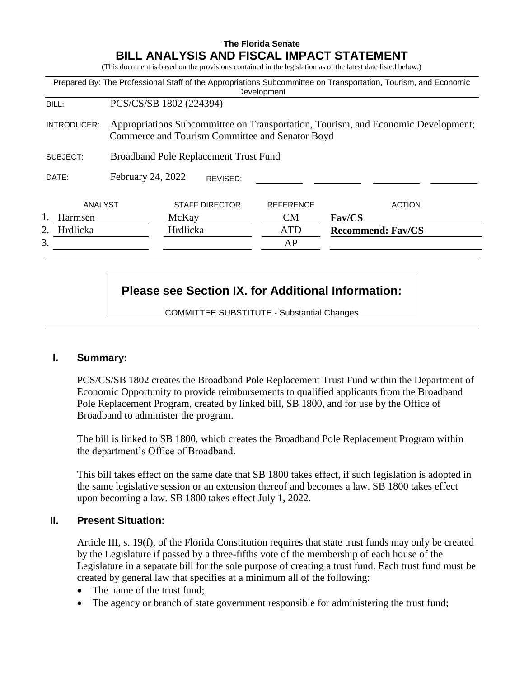# **The Florida Senate BILL ANALYSIS AND FISCAL IMPACT STATEMENT**

(This document is based on the provisions contained in the legislation as of the latest date listed below.)

| Prepared By: The Professional Staff of the Appropriations Subcommittee on Transportation, Tourism, and Economic<br>Development |                                                                                                                                      |                       |                  |                          |
|--------------------------------------------------------------------------------------------------------------------------------|--------------------------------------------------------------------------------------------------------------------------------------|-----------------------|------------------|--------------------------|
| BILL:                                                                                                                          | PCS/CS/SB 1802 (224394)                                                                                                              |                       |                  |                          |
| INTRODUCER:                                                                                                                    | Appropriations Subcommittee on Transportation, Tourism, and Economic Development;<br>Commerce and Tourism Committee and Senator Boyd |                       |                  |                          |
| SUBJECT:                                                                                                                       | Broadband Pole Replacement Trust Fund                                                                                                |                       |                  |                          |
| DATE:                                                                                                                          | February 24, 2022                                                                                                                    | REVISED:              |                  |                          |
| ANALYST                                                                                                                        |                                                                                                                                      | <b>STAFF DIRECTOR</b> | <b>REFERENCE</b> | <b>ACTION</b>            |
| Harmsen                                                                                                                        |                                                                                                                                      | McKay                 | CM               | <b>Fav/CS</b>            |
| 2.<br>Hrdlicka                                                                                                                 |                                                                                                                                      | Hrdlicka              | <b>ATD</b>       | <b>Recommend: Fav/CS</b> |
| 3.                                                                                                                             |                                                                                                                                      |                       | AP               |                          |
|                                                                                                                                |                                                                                                                                      |                       |                  |                          |

# **Please see Section IX. for Additional Information:**

COMMITTEE SUBSTITUTE - Substantial Changes

#### **I. Summary:**

PCS/CS/SB 1802 creates the Broadband Pole Replacement Trust Fund within the Department of Economic Opportunity to provide reimbursements to qualified applicants from the Broadband Pole Replacement Program, created by linked bill, SB 1800, and for use by the Office of Broadband to administer the program.

The bill is linked to SB 1800, which creates the Broadband Pole Replacement Program within the department's Office of Broadband.

This bill takes effect on the same date that SB 1800 takes effect, if such legislation is adopted in the same legislative session or an extension thereof and becomes a law. SB 1800 takes effect upon becoming a law. SB 1800 takes effect July 1, 2022.

#### **II. Present Situation:**

Article III, s. 19(f), of the Florida Constitution requires that state trust funds may only be created by the Legislature if passed by a three-fifths vote of the membership of each house of the Legislature in a separate bill for the sole purpose of creating a trust fund. Each trust fund must be created by general law that specifies at a minimum all of the following:

- The name of the trust fund;
- The agency or branch of state government responsible for administering the trust fund;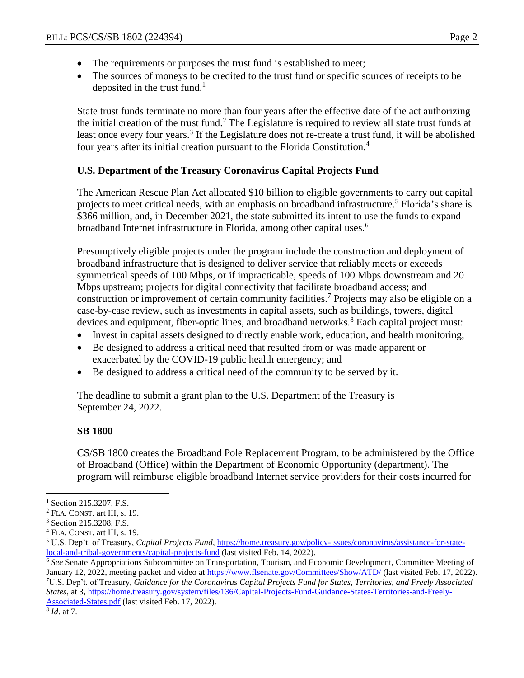- The requirements or purposes the trust fund is established to meet;
- The sources of moneys to be credited to the trust fund or specific sources of receipts to be deposited in the trust fund.<sup>1</sup>

State trust funds terminate no more than four years after the effective date of the act authorizing the initial creation of the trust fund.<sup>2</sup> The Legislature is required to review all state trust funds at least once every four years.<sup>3</sup> If the Legislature does not re-create a trust fund, it will be abolished four years after its initial creation pursuant to the Florida Constitution.<sup>4</sup>

# **U.S. Department of the Treasury Coronavirus Capital Projects Fund**

The American Rescue Plan Act allocated \$10 billion to eligible governments to carry out capital projects to meet critical needs, with an emphasis on broadband infrastructure.<sup>5</sup> Florida's share is \$366 million, and, in December 2021, the state submitted its intent to use the funds to expand broadband Internet infrastructure in Florida, among other capital uses.<sup>6</sup>

Presumptively eligible projects under the program include the construction and deployment of broadband infrastructure that is designed to deliver service that reliably meets or exceeds symmetrical speeds of 100 Mbps, or if impracticable, speeds of 100 Mbps downstream and 20 Mbps upstream; projects for digital connectivity that facilitate broadband access; and construction or improvement of certain community facilities.<sup>7</sup> Projects may also be eligible on a case-by-case review, such as investments in capital assets, such as buildings, towers, digital devices and equipment, fiber-optic lines, and broadband networks.<sup>8</sup> Each capital project must:

- Invest in capital assets designed to directly enable work, education, and health monitoring;
- Be designed to address a critical need that resulted from or was made apparent or exacerbated by the COVID-19 public health emergency; and
- Be designed to address a critical need of the community to be served by it.

The deadline to submit a grant plan to the U.S. Department of the Treasury is September 24, 2022.

## **SB 1800**

CS/SB 1800 creates the Broadband Pole Replacement Program, to be administered by the Office of Broadband (Office) within the Department of Economic Opportunity (department). The program will reimburse eligible broadband Internet service providers for their costs incurred for

<sup>6</sup> *See* Senate Appropriations Subcommittee on Transportation, Tourism, and Economic Development, Committee Meeting of January 12, 2022, meeting packet and video at<https://www.flsenate.gov/Committees/Show/ATD/> (last visited Feb. 17, 2022). <sup>7</sup>U.S. Dep't. of Treasury, *Guidance for the Coronavirus Capital Projects Fund for States, Territories, and Freely Associated States,* at 3[, https://home.treasury.gov/system/files/136/Capital-Projects-Fund-Guidance-States-Territories-and-Freely-](https://home.treasury.gov/system/files/136/Capital-Projects-Fund-Guidance-States-Territories-and-Freely-Associated-States.pdf)[Associated-States.pdf](https://home.treasury.gov/system/files/136/Capital-Projects-Fund-Guidance-States-Territories-and-Freely-Associated-States.pdf) (last visited Feb. 17, 2022).

 $\overline{a}$ 

<sup>&</sup>lt;sup>1</sup> Section 215.3207, F.S.

<sup>2</sup> FLA. CONST. art III, s. 19.

<sup>3</sup> Section 215.3208, F.S.

<sup>4</sup> FLA. CONST. art III, s. 19.

<sup>5</sup> U.S. Dep't. of Treasury, *Capital Projects Fund*[, https://home.treasury.gov/policy-issues/coronavirus/assistance-for-state](https://home.treasury.gov/policy-issues/coronavirus/assistance-for-state-local-and-tribal-governments/capital-projects-fund)[local-and-tribal-governments/capital-projects-fund](https://home.treasury.gov/policy-issues/coronavirus/assistance-for-state-local-and-tribal-governments/capital-projects-fund) (last visited Feb. 14, 2022).

<sup>8</sup> *Id*. at 7.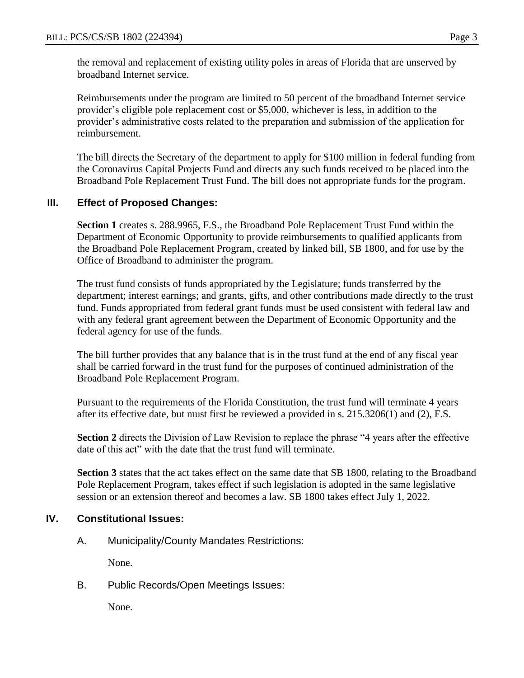the removal and replacement of existing utility poles in areas of Florida that are unserved by broadband Internet service.

Reimbursements under the program are limited to 50 percent of the broadband Internet service provider's eligible pole replacement cost or \$5,000, whichever is less, in addition to the provider's administrative costs related to the preparation and submission of the application for reimbursement.

The bill directs the Secretary of the department to apply for \$100 million in federal funding from the Coronavirus Capital Projects Fund and directs any such funds received to be placed into the Broadband Pole Replacement Trust Fund. The bill does not appropriate funds for the program.

## **III. Effect of Proposed Changes:**

**Section 1** creates s. 288.9965, F.S., the Broadband Pole Replacement Trust Fund within the Department of Economic Opportunity to provide reimbursements to qualified applicants from the Broadband Pole Replacement Program, created by linked bill, SB 1800, and for use by the Office of Broadband to administer the program.

The trust fund consists of funds appropriated by the Legislature; funds transferred by the department; interest earnings; and grants, gifts, and other contributions made directly to the trust fund. Funds appropriated from federal grant funds must be used consistent with federal law and with any federal grant agreement between the Department of Economic Opportunity and the federal agency for use of the funds.

The bill further provides that any balance that is in the trust fund at the end of any fiscal year shall be carried forward in the trust fund for the purposes of continued administration of the Broadband Pole Replacement Program.

Pursuant to the requirements of the Florida Constitution, the trust fund will terminate 4 years after its effective date, but must first be reviewed a provided in s. 215.3206(1) and (2), F.S.

**Section 2** directs the Division of Law Revision to replace the phrase "4 years after the effective date of this act" with the date that the trust fund will terminate.

**Section 3** states that the act takes effect on the same date that SB 1800, relating to the Broadband Pole Replacement Program, takes effect if such legislation is adopted in the same legislative session or an extension thereof and becomes a law. SB 1800 takes effect July 1, 2022.

## **IV. Constitutional Issues:**

A. Municipality/County Mandates Restrictions:

None.

B. Public Records/Open Meetings Issues:

None.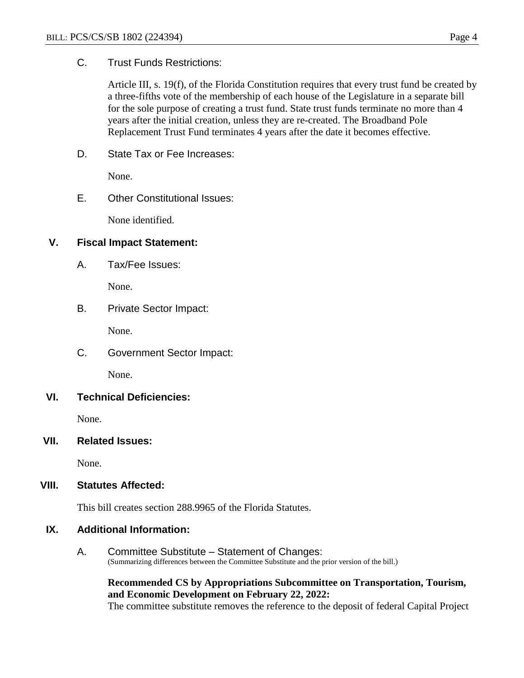#### C. Trust Funds Restrictions:

Article III, s. 19(f), of the Florida Constitution requires that every trust fund be created by a three-fifths vote of the membership of each house of the Legislature in a separate bill for the sole purpose of creating a trust fund. State trust funds terminate no more than 4 years after the initial creation, unless they are re-created. The Broadband Pole Replacement Trust Fund terminates 4 years after the date it becomes effective.

D. State Tax or Fee Increases:

None.

E. Other Constitutional Issues:

None identified.

## **V. Fiscal Impact Statement:**

A. Tax/Fee Issues:

None.

B. Private Sector Impact:

None.

C. Government Sector Impact:

None.

## **VI. Technical Deficiencies:**

None.

**VII. Related Issues:**

None.

## **VIII. Statutes Affected:**

This bill creates section 288.9965 of the Florida Statutes.

## **IX. Additional Information:**

A. Committee Substitute – Statement of Changes: (Summarizing differences between the Committee Substitute and the prior version of the bill.)

#### **Recommended CS by Appropriations Subcommittee on Transportation, Tourism, and Economic Development on February 22, 2022:**

The committee substitute removes the reference to the deposit of federal Capital Project